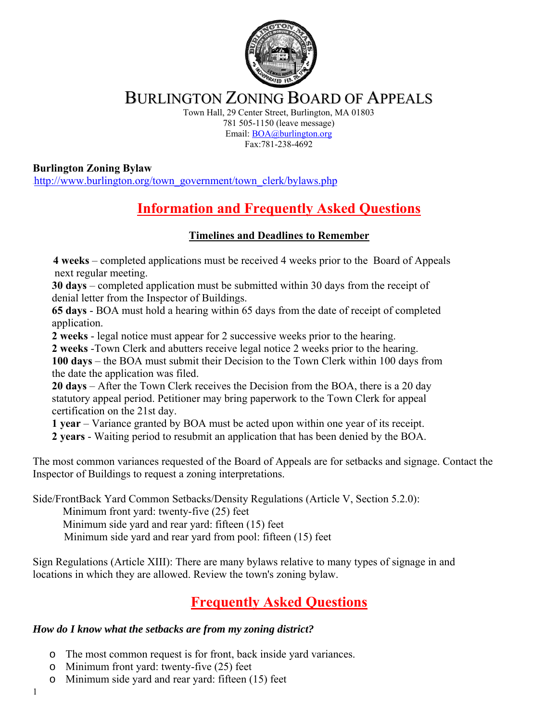

## BURLINGTON ZONING BOARD OF APPEALS

Town Hall, 29 Center Street, Burlington, MA 01803 781 505-1150 (leave message) Email: BOA@burlington.org Fax:781-238-4692

**Burlington Zoning Bylaw**  http://www.burlington.org/town\_government/town\_clerk/bylaws.php

# <sup>U</sup>**Information and Frequently Asked Questions**

### <sup>U</sup>**Timelines and Deadlines to Remember**

 **4 weeks** – completed applications must be received 4 weeks prior to the Board of Appeals next regular meeting.

 **30 days** – completed application must be submitted within 30 days from the receipt of denial letter from the Inspector of Buildings.

 **65 days** - BOA must hold a hearing within 65 days from the date of receipt of completed application.

 **2 weeks** - legal notice must appear for 2 successive weeks prior to the hearing.

 **2 weeks** -Town Clerk and abutters receive legal notice 2 weeks prior to the hearing.

 **100 days** – the BOA must submit their Decision to the Town Clerk within 100 days from the date the application was filed.

 **20 days** – After the Town Clerk receives the Decision from the BOA, there is a 20 day statutory appeal period. Petitioner may bring paperwork to the Town Clerk for appeal certification on the 21st day.

 **1 year** – Variance granted by BOA must be acted upon within one year of its receipt.

 **2 years** - Waiting period to resubmit an application that has been denied by the BOA.

The most common variances requested of the Board of Appeals are for setbacks and signage. Contact the Inspector of Buildings to request a zoning interpretations.

Side/FrontBack Yard Common Setbacks/Density Regulations (Article V, Section 5.2.0):

Minimum front yard: twenty-five (25) feet

Minimum side yard and rear yard: fifteen (15) feet

Minimum side yard and rear yard from pool: fifteen (15) feet

Sign Regulations (Article XIII): There are many bylaws relative to many types of signage in and locations in which they are allowed. Review the town's zoning bylaw.

# <sup>U</sup>**Frequently Asked Questions**

### *How do I know what the setbacks are from my zoning district?*

- o The most common request is for front, back inside yard variances.
- o Minimum front yard: twenty-five (25) feet
- o Minimum side yard and rear yard: fifteen (15) feet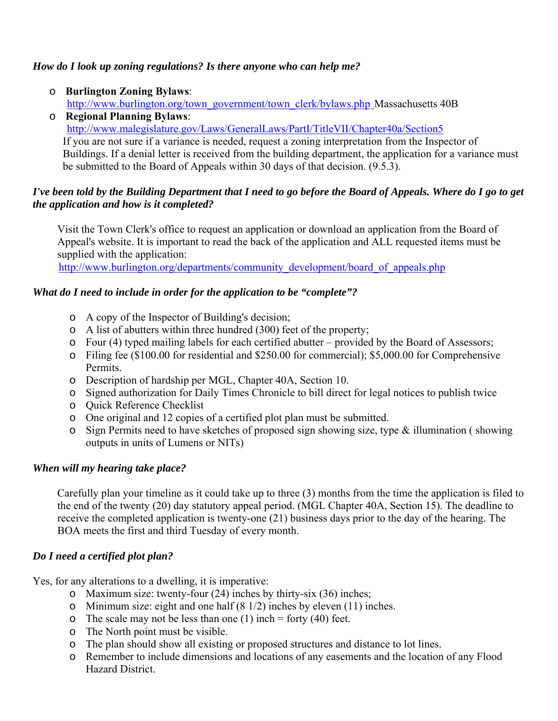#### *How do I look up zoning regulations? Is there anyone who can help me?*

- o **Burlington Zoning Bylaws**:
	- http://www.burlington.org/town\_government/town\_clerk/bylaws.php Massachusetts 40B
- o **Regional Planning Bylaws**: http://www.malegislature.gov/Laws/GeneralLaws/PartI/TitleVII/Chapter40a/Section5 If you are not sure if a variance is needed, request a zoning interpretation from the Inspector of Buildings. If a denial letter is received from the building department, the application for a variance must be submitted to the Board of Appeals within 30 days of that decision. (9.5.3).

#### *I've been told by the Building Department that I need to go before the Board of Appeals. Where do I go to get the application and how is it completed?*

 Visit the Town Clerk's office to request an application or download an application from the Board of Appeal's website. It is important to read the back of the application and ALL requested items must be supplied with the application:

http://www.burlington.org/departments/community\_development/board\_of\_appeals.php

#### *What do I need to include in order for the application to be "complete"?*

- o A copy of the Inspector of Building's decision;
- o A list of abutters within three hundred (300) feet of the property;
- o Four (4) typed mailing labels for each certified abutter provided by the Board of Assessors;
- o Filing fee (\$100.00 for residential and \$250.00 for commercial); \$5,000.00 for Comprehensive Permits.
- o Description of hardship per MGL, Chapter 40A, Section 10.
- o Signed authorization for Daily Times Chronicle to bill direct for legal notices to publish twice
- o Quick Reference Checklist
- o One original and 12 copies of a certified plot plan must be submitted.
- o Sign Permits need to have sketches of proposed sign showing size, type & illumination ( showing outputs in units of Lumens or NITs)

#### *When will my hearing take place?*

 Carefully plan your timeline as it could take up to three (3) months from the time the application is filed to the end of the twenty (20) day statutory appeal period. (MGL Chapter 40A, Section 15). The deadline to receive the completed application is twenty-one (21) business days prior to the day of the hearing. The BOA meets the first and third Tuesday of every month.

#### *Do I need a certified plot plan?*

Yes, for any alterations to a dwelling, it is imperative:

- o Maximum size: twenty-four (24) inches by thirty-six (36) inches;
- o Minimum size: eight and one half (8 1/2) inches by eleven (11) inches.
- $\circ$  The scale may not be less than one (1) inch = forty (40) feet.
- o The North point must be visible.
- o The plan should show all existing or proposed structures and distance to lot lines.
- o Remember to include dimensions and locations of any easements and the location of any Flood Hazard District.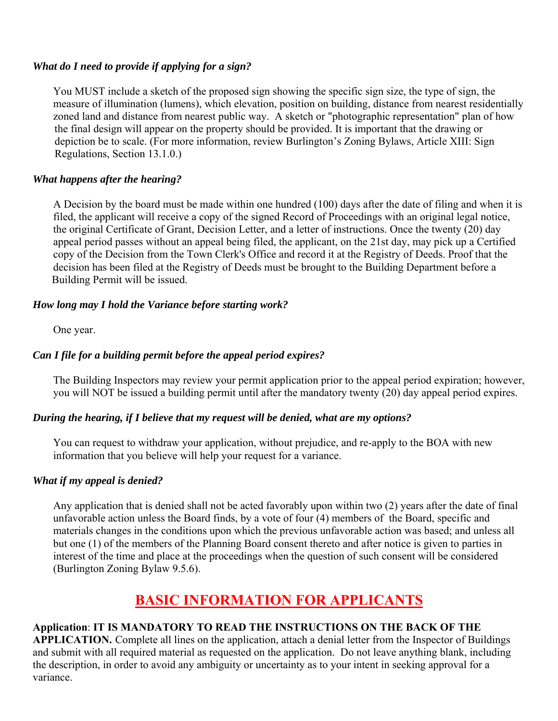#### *What do I need to provide if applying for a sign?*

 You MUST include a sketch of the proposed sign showing the specific sign size, the type of sign, the measure of illumination (lumens), which elevation, position on building, distance from nearest residentially zoned land and distance from nearest public way. A sketch or "photographic representation" plan of how the final design will appear on the property should be provided. It is important that the drawing or depiction be to scale. (For more information, review Burlington's Zoning Bylaws, Article XIII: Sign Regulations, Section 13.1.0.)

#### *What happens after the hearing?*

 A Decision by the board must be made within one hundred (100) days after the date of filing and when it is filed, the applicant will receive a copy of the signed Record of Proceedings with an original legal notice, the original Certificate of Grant, Decision Letter, and a letter of instructions. Once the twenty (20) day appeal period passes without an appeal being filed, the applicant, on the 21st day, may pick up a Certified copy of the Decision from the Town Clerk's Office and record it at the Registry of Deeds. Proof that the decision has been filed at the Registry of Deeds must be brought to the Building Department before a Building Permit will be issued.

#### *How long may I hold the Variance before starting work?*

One year.

#### *Can I file for a building permit before the appeal period expires?*

 The Building Inspectors may review your permit application prior to the appeal period expiration; however, you will NOT be issued a building permit until after the mandatory twenty (20) day appeal period expires.

#### *During the hearing, if I believe that my request will be denied, what are my options?*

 You can request to withdraw your application, without prejudice, and re-apply to the BOA with new information that you believe will help your request for a variance.

#### *What if my appeal is denied?*

 Any application that is denied shall not be acted favorably upon within two (2) years after the date of final unfavorable action unless the Board finds, by a vote of four (4) members of the Board, specific and materials changes in the conditions upon which the previous unfavorable action was based; and unless all but one (1) of the members of the Planning Board consent thereto and after notice is given to parties in interest of the time and place at the proceedings when the question of such consent will be considered (Burlington Zoning Bylaw 9.5.6).

## <sup>U</sup>**BASIC INFORMATION FOR APPLICANTS**

#### **Application**: **IT IS MANDATORY TO READ THE INSTRUCTIONS ON THE BACK OF THE**

**APPLICATION.** Complete all lines on the application, attach a denial letter from the Inspector of Buildings and submit with all required material as requested on the application. Do not leave anything blank, including the description, in order to avoid any ambiguity or uncertainty as to your intent in seeking approval for a variance.